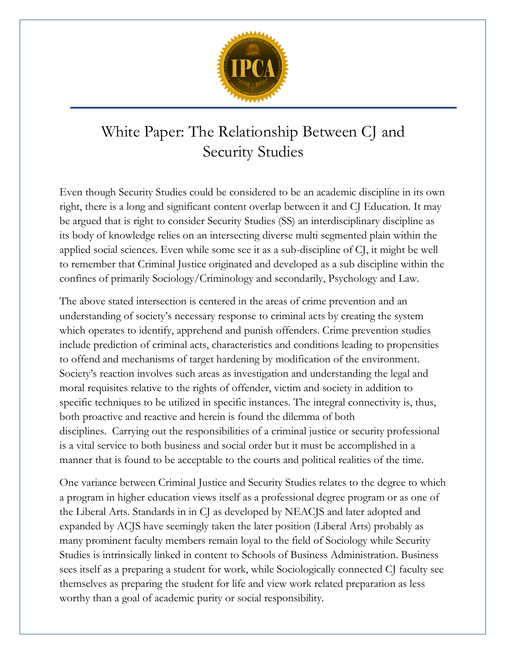

## White Paper: The Relationship Between CJ and Security Studies

Even though Security Studies could be considered to be an academic discipline in its own right, there is a long and significant content overlap between it and CJ Education. It may be argued that is right to consider Security Studies (SS) an interdisciplinary discipline as its body of knowledge relies on an intersecting diverse multi segmented plain within the applied social sciences. Even while some see it as a sub-discipline of CJ, it might be well to remember that Criminal Justice originated and developed as a sub discipline within the confines of primarily Sociology/Criminology and secondarily, Psychology and Law.

The above stated intersection is centered in the areas of crime prevention and an understanding of society's necessary response to criminal acts by creating the system which operates to identify, apprehend and punish offenders. Crime prevention studies include prediction of criminal acts, characteristics and conditions leading to propensities to offend and mechanisms of target hardening by modification of the environment. Society's reaction involves such areas as investigation and understanding the legal and moral requisites relative to the rights of offender, victim and society in addition to specific techniques to be utilized in specific instances. The integral connectivity is, thus, both proactive and reactive and herein is found the dilemma of both disciplines. Carrying out the responsibilities of a criminal justice or security professional is a vital service to both business and social order but it must be accomplished in a manner that is found to be acceptable to the courts and political realities of the time.

One variance between Criminal Justice and Security Studies relates to the degree to which a program in higher education views itself as a professional degree program or as one of the Liberal Arts. Standards in in CJ as developed by NEACJS and later adopted and expanded by ACJS have seemingly taken the later position (Liberal Arts) probably as many prominent faculty members remain loyal to the field of Sociology while Security Studies is intrinsically linked in content to Schools of Business Administration. Business sees itself as a preparing a student for work, while Sociologically connected CJ faculty see themselves as preparing the student for life and view work related preparation as less worthy than a goal of academic purity or social responsibility.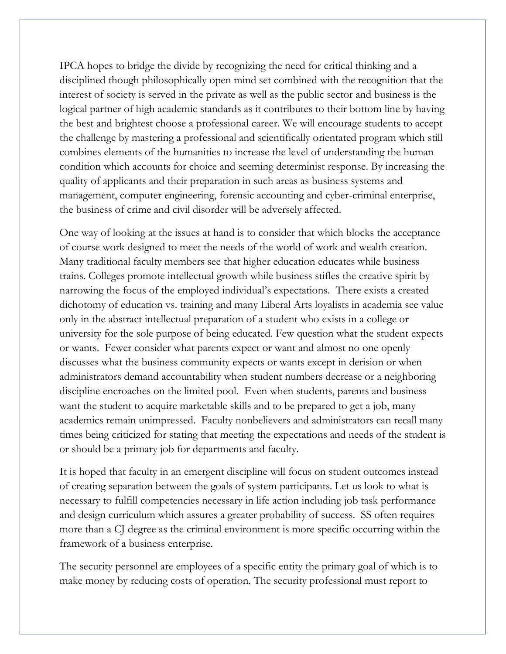IPCA hopes to bridge the divide by recognizing the need for critical thinking and a disciplined though philosophically open mind set combined with the recognition that the interest of society is served in the private as well as the public sector and business is the logical partner of high academic standards as it contributes to their bottom line by having the best and brightest choose a professional career. We will encourage students to accept the challenge by mastering a professional and scientifically orientated program which still combines elements of the humanities to increase the level of understanding the human condition which accounts for choice and seeming determinist response. By increasing the quality of applicants and their preparation in such areas as business systems and management, computer engineering, forensic accounting and cyber-criminal enterprise, the business of crime and civil disorder will be adversely affected.

One way of looking at the issues at hand is to consider that which blocks the acceptance of course work designed to meet the needs of the world of work and wealth creation. Many traditional faculty members see that higher education educates while business trains. Colleges promote intellectual growth while business stifles the creative spirit by narrowing the focus of the employed individual's expectations. There exists a created dichotomy of education vs. training and many Liberal Arts loyalists in academia see value only in the abstract intellectual preparation of a student who exists in a college or university for the sole purpose of being educated. Few question what the student expects or wants. Fewer consider what parents expect or want and almost no one openly discusses what the business community expects or wants except in derision or when administrators demand accountability when student numbers decrease or a neighboring discipline encroaches on the limited pool. Even when students, parents and business want the student to acquire marketable skills and to be prepared to get a job, many academics remain unimpressed. Faculty nonbelievers and administrators can recall many times being criticized for stating that meeting the expectations and needs of the student is or should be a primary job for departments and faculty.

It is hoped that faculty in an emergent discipline will focus on student outcomes instead of creating separation between the goals of system participants. Let us look to what is necessary to fulfill competencies necessary in life action including job task performance and design curriculum which assures a greater probability of success. SS often requires more than a CJ degree as the criminal environment is more specific occurring within the framework of a business enterprise.

The security personnel are employees of a specific entity the primary goal of which is to make money by reducing costs of operation. The security professional must report to